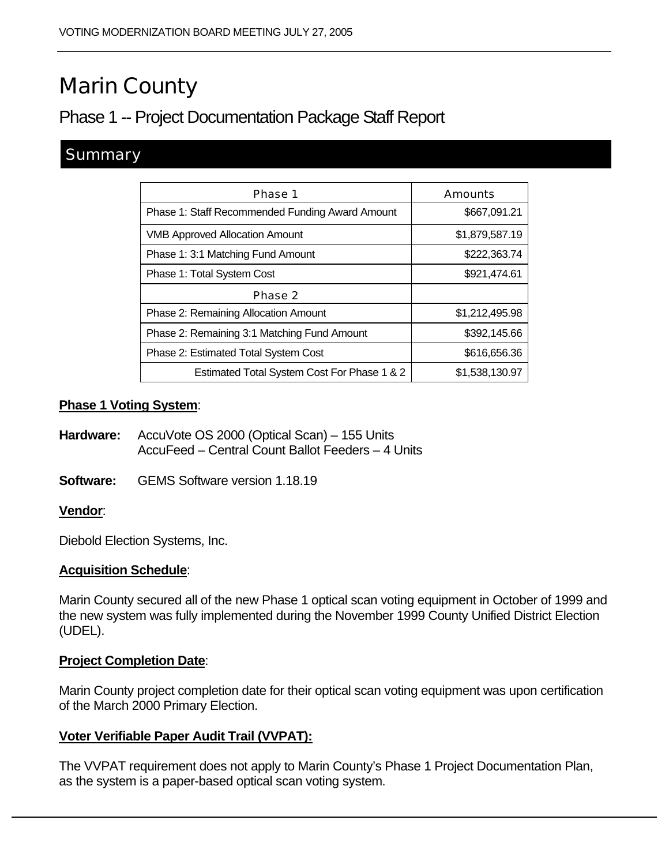# Marin County

# Phase 1 -- Project Documentation Package Staff Report

# **Summary**

| Phase 1                                         | <b>Amounts</b> |
|-------------------------------------------------|----------------|
| Phase 1: Staff Recommended Funding Award Amount | \$667,091.21   |
| <b>VMB Approved Allocation Amount</b>           | \$1,879,587.19 |
| Phase 1: 3:1 Matching Fund Amount               | \$222,363.74   |
| Phase 1: Total System Cost                      | \$921,474.61   |
| Phase 2                                         |                |
| Phase 2: Remaining Allocation Amount            | \$1,212,495.98 |
| Phase 2: Remaining 3:1 Matching Fund Amount     | \$392,145.66   |
| Phase 2: Estimated Total System Cost            | \$616,656.36   |
| Estimated Total System Cost For Phase 1 & 2     | \$1,538,130.97 |

#### **Phase 1 Voting System**:

- **Hardware:** AccuVote OS 2000 (Optical Scan) 155 Units AccuFeed – Central Count Ballot Feeders – 4 Units
- **Software:** GEMS Software version 1.18.19

#### **Vendor**:

Diebold Election Systems, Inc.

#### **Acquisition Schedule**:

Marin County secured all of the new Phase 1 optical scan voting equipment in October of 1999 and the new system was fully implemented during the November 1999 County Unified District Election (UDEL).

#### **Project Completion Date**:

Marin County project completion date for their optical scan voting equipment was upon certification of the March 2000 Primary Election.

#### **Voter Verifiable Paper Audit Trail (VVPAT):**

The VVPAT requirement does not apply to Marin County's Phase 1 Project Documentation Plan, as the system is a paper-based optical scan voting system.